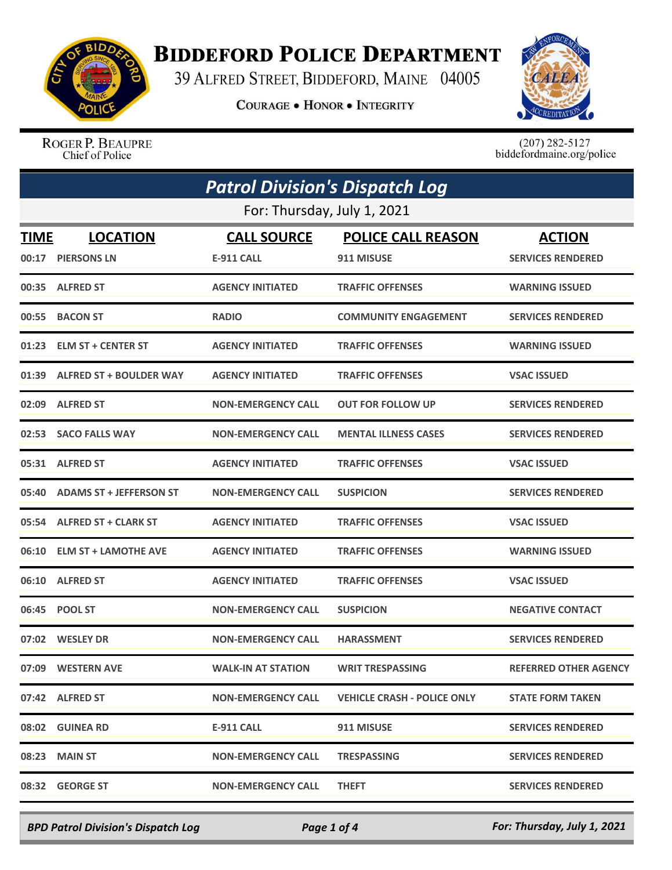

## **BIDDEFORD POLICE DEPARTMENT**

39 ALFRED STREET, BIDDEFORD, MAINE 04005

**COURAGE . HONOR . INTEGRITY** 



ROGER P. BEAUPRE Chief of Police

 $(207)$  282-5127<br>biddefordmaine.org/police

| <b>Patrol Division's Dispatch Log</b> |                                      |                                  |                                         |                                           |  |  |
|---------------------------------------|--------------------------------------|----------------------------------|-----------------------------------------|-------------------------------------------|--|--|
|                                       | For: Thursday, July 1, 2021          |                                  |                                         |                                           |  |  |
| <b>TIME</b>                           | <b>LOCATION</b><br>00:17 PIERSONS LN | <b>CALL SOURCE</b><br>E-911 CALL | <b>POLICE CALL REASON</b><br>911 MISUSE | <b>ACTION</b><br><b>SERVICES RENDERED</b> |  |  |
|                                       | 00:35 ALFRED ST                      | <b>AGENCY INITIATED</b>          | <b>TRAFFIC OFFENSES</b>                 | <b>WARNING ISSUED</b>                     |  |  |
| 00:55                                 | <b>BACON ST</b>                      | <b>RADIO</b>                     | <b>COMMUNITY ENGAGEMENT</b>             | <b>SERVICES RENDERED</b>                  |  |  |
| 01:23                                 | <b>ELM ST + CENTER ST</b>            | <b>AGENCY INITIATED</b>          | <b>TRAFFIC OFFENSES</b>                 | <b>WARNING ISSUED</b>                     |  |  |
|                                       | 01:39 ALFRED ST + BOULDER WAY        | <b>AGENCY INITIATED</b>          | <b>TRAFFIC OFFENSES</b>                 | <b>VSAC ISSUED</b>                        |  |  |
|                                       | 02:09 ALFRED ST                      | <b>NON-EMERGENCY CALL</b>        | <b>OUT FOR FOLLOW UP</b>                | <b>SERVICES RENDERED</b>                  |  |  |
|                                       | 02:53 SACO FALLS WAY                 | <b>NON-EMERGENCY CALL</b>        | <b>MENTAL ILLNESS CASES</b>             | <b>SERVICES RENDERED</b>                  |  |  |
|                                       | 05:31 ALFRED ST                      | <b>AGENCY INITIATED</b>          | <b>TRAFFIC OFFENSES</b>                 | <b>VSAC ISSUED</b>                        |  |  |
| 05:40                                 | <b>ADAMS ST + JEFFERSON ST</b>       | <b>NON-EMERGENCY CALL</b>        | <b>SUSPICION</b>                        | <b>SERVICES RENDERED</b>                  |  |  |
|                                       | 05:54 ALFRED ST + CLARK ST           | <b>AGENCY INITIATED</b>          | <b>TRAFFIC OFFENSES</b>                 | <b>VSAC ISSUED</b>                        |  |  |
| 06:10                                 | <b>ELM ST + LAMOTHE AVE</b>          | <b>AGENCY INITIATED</b>          | <b>TRAFFIC OFFENSES</b>                 | <b>WARNING ISSUED</b>                     |  |  |
| 06:10                                 | <b>ALFRED ST</b>                     | <b>AGENCY INITIATED</b>          | <b>TRAFFIC OFFENSES</b>                 | <b>VSAC ISSUED</b>                        |  |  |
| 06:45                                 | <b>POOL ST</b>                       | <b>NON-EMERGENCY CALL</b>        | <b>SUSPICION</b>                        | <b>NEGATIVE CONTACT</b>                   |  |  |
|                                       | 07:02 WESLEY DR                      | <b>NON-EMERGENCY CALL</b>        | <b>HARASSMENT</b>                       | <b>SERVICES RENDERED</b>                  |  |  |
|                                       | 07:09 WESTERN AVE                    | <b>WALK-IN AT STATION</b>        | <b>WRIT TRESPASSING</b>                 | <b>REFERRED OTHER AGENCY</b>              |  |  |
|                                       | 07:42 ALFRED ST                      | <b>NON-EMERGENCY CALL</b>        | <b>VEHICLE CRASH - POLICE ONLY</b>      | <b>STATE FORM TAKEN</b>                   |  |  |
|                                       | 08:02 GUINEA RD                      | E-911 CALL                       | 911 MISUSE                              | <b>SERVICES RENDERED</b>                  |  |  |
|                                       | 08:23 MAIN ST                        | <b>NON-EMERGENCY CALL</b>        | <b>TRESPASSING</b>                      | <b>SERVICES RENDERED</b>                  |  |  |
|                                       | 08:32 GEORGE ST                      | <b>NON-EMERGENCY CALL</b>        | <b>THEFT</b>                            | <b>SERVICES RENDERED</b>                  |  |  |

*BPD Patrol Division's Dispatch Log Page 1 of 4 For: Thursday, July 1, 2021*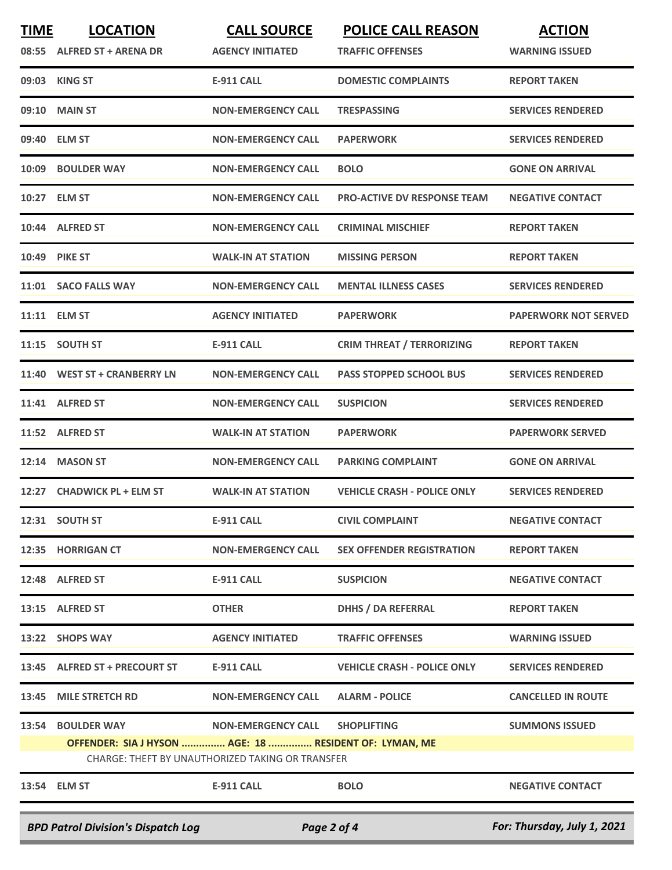| <b>TIME</b> | <b>LOCATION</b>                                                                                            | <b>CALL SOURCE</b>        | <b>POLICE CALL REASON</b>          | <b>ACTION</b>               |  |
|-------------|------------------------------------------------------------------------------------------------------------|---------------------------|------------------------------------|-----------------------------|--|
|             | 08:55 ALFRED ST + ARENA DR                                                                                 | <b>AGENCY INITIATED</b>   | <b>TRAFFIC OFFENSES</b>            | <b>WARNING ISSUED</b>       |  |
|             | 09:03 KING ST                                                                                              | E-911 CALL                | <b>DOMESTIC COMPLAINTS</b>         | <b>REPORT TAKEN</b>         |  |
| 09:10       | <b>MAIN ST</b>                                                                                             | <b>NON-EMERGENCY CALL</b> | <b>TRESPASSING</b>                 | <b>SERVICES RENDERED</b>    |  |
| 09:40       | <b>ELM ST</b>                                                                                              | <b>NON-EMERGENCY CALL</b> | <b>PAPERWORK</b>                   | <b>SERVICES RENDERED</b>    |  |
| 10:09       | <b>BOULDER WAY</b>                                                                                         | <b>NON-EMERGENCY CALL</b> | <b>BOLO</b>                        | <b>GONE ON ARRIVAL</b>      |  |
|             | 10:27 ELM ST                                                                                               | <b>NON-EMERGENCY CALL</b> | <b>PRO-ACTIVE DV RESPONSE TEAM</b> | <b>NEGATIVE CONTACT</b>     |  |
| 10:44       | <b>ALFRED ST</b>                                                                                           | <b>NON-EMERGENCY CALL</b> | <b>CRIMINAL MISCHIEF</b>           | <b>REPORT TAKEN</b>         |  |
|             | 10:49 PIKE ST                                                                                              | <b>WALK-IN AT STATION</b> | <b>MISSING PERSON</b>              | <b>REPORT TAKEN</b>         |  |
| 11:01       | <b>SACO FALLS WAY</b>                                                                                      | <b>NON-EMERGENCY CALL</b> | <b>MENTAL ILLNESS CASES</b>        | <b>SERVICES RENDERED</b>    |  |
|             | 11:11 ELM ST                                                                                               | <b>AGENCY INITIATED</b>   | <b>PAPERWORK</b>                   | <b>PAPERWORK NOT SERVED</b> |  |
|             | 11:15 SOUTH ST                                                                                             | <b>E-911 CALL</b>         | <b>CRIM THREAT / TERRORIZING</b>   | <b>REPORT TAKEN</b>         |  |
| 11:40       | <b>WEST ST + CRANBERRY LN</b>                                                                              | <b>NON-EMERGENCY CALL</b> | <b>PASS STOPPED SCHOOL BUS</b>     | <b>SERVICES RENDERED</b>    |  |
| 11:41       | <b>ALFRED ST</b>                                                                                           | <b>NON-EMERGENCY CALL</b> | <b>SUSPICION</b>                   | <b>SERVICES RENDERED</b>    |  |
|             | 11:52 ALFRED ST                                                                                            | <b>WALK-IN AT STATION</b> | <b>PAPERWORK</b>                   | <b>PAPERWORK SERVED</b>     |  |
| 12:14       | <b>MASON ST</b>                                                                                            | <b>NON-EMERGENCY CALL</b> | <b>PARKING COMPLAINT</b>           | <b>GONE ON ARRIVAL</b>      |  |
| 12:27       | <b>CHADWICK PL + ELM ST</b>                                                                                | <b>WALK-IN AT STATION</b> | <b>VEHICLE CRASH - POLICE ONLY</b> | <b>SERVICES RENDERED</b>    |  |
|             | 12:31 SOUTH ST                                                                                             | <b>E-911 CALL</b>         | <b>CIVIL COMPLAINT</b>             | <b>NEGATIVE CONTACT</b>     |  |
|             | 12:35 HORRIGAN CT                                                                                          | <b>NON-EMERGENCY CALL</b> | <b>SEX OFFENDER REGISTRATION</b>   | <b>REPORT TAKEN</b>         |  |
|             | 12:48 ALFRED ST                                                                                            | <b>E-911 CALL</b>         | <b>SUSPICION</b>                   | <b>NEGATIVE CONTACT</b>     |  |
|             | 13:15 ALFRED ST                                                                                            | <b>OTHER</b>              | <b>DHHS / DA REFERRAL</b>          | <b>REPORT TAKEN</b>         |  |
|             | 13:22 SHOPS WAY                                                                                            | <b>AGENCY INITIATED</b>   | <b>TRAFFIC OFFENSES</b>            | <b>WARNING ISSUED</b>       |  |
|             | 13:45 ALFRED ST + PRECOURT ST                                                                              | <b>E-911 CALL</b>         | <b>VEHICLE CRASH - POLICE ONLY</b> | <b>SERVICES RENDERED</b>    |  |
| 13:45       | <b>MILE STRETCH RD</b>                                                                                     | <b>NON-EMERGENCY CALL</b> | <b>ALARM - POLICE</b>              | <b>CANCELLED IN ROUTE</b>   |  |
| 13:54       | <b>BOULDER WAY</b>                                                                                         | <b>NON-EMERGENCY CALL</b> | <b>SHOPLIFTING</b>                 | <b>SUMMONS ISSUED</b>       |  |
|             | OFFENDER: SIA J HYSON  AGE: 18  RESIDENT OF: LYMAN, ME<br>CHARGE: THEFT BY UNAUTHORIZED TAKING OR TRANSFER |                           |                                    |                             |  |
|             | 13:54 ELM ST                                                                                               | <b>E-911 CALL</b>         | <b>BOLO</b>                        | <b>NEGATIVE CONTACT</b>     |  |
|             |                                                                                                            |                           |                                    |                             |  |
|             | <b>BPD Patrol Division's Dispatch Log</b>                                                                  |                           | Page 2 of 4                        | For: Thursday, July 1, 2021 |  |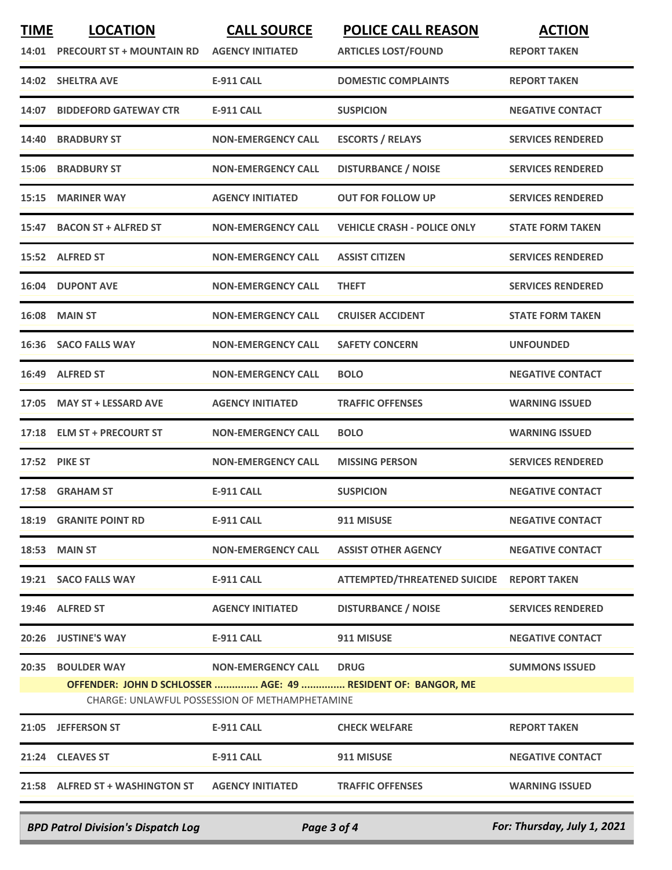| <b>TIME</b><br>14:01 | <b>LOCATION</b><br><b>PRECOURT ST + MOUNTAIN RD</b> | <b>CALL SOURCE</b><br><b>AGENCY INITIATED</b>                               | <b>POLICE CALL REASON</b><br><b>ARTICLES LOST/FOUND</b>                     | <b>ACTION</b><br><b>REPORT TAKEN</b> |
|----------------------|-----------------------------------------------------|-----------------------------------------------------------------------------|-----------------------------------------------------------------------------|--------------------------------------|
| 14:02                | <b>SHELTRA AVE</b>                                  | <b>E-911 CALL</b>                                                           | <b>DOMESTIC COMPLAINTS</b>                                                  | <b>REPORT TAKEN</b>                  |
| 14:07                | <b>BIDDEFORD GATEWAY CTR</b>                        | <b>E-911 CALL</b>                                                           | <b>SUSPICION</b>                                                            | <b>NEGATIVE CONTACT</b>              |
| 14:40                | <b>BRADBURY ST</b>                                  | <b>NON-EMERGENCY CALL</b>                                                   | <b>ESCORTS / RELAYS</b>                                                     | <b>SERVICES RENDERED</b>             |
| 15:06                | <b>BRADBURY ST</b>                                  | <b>NON-EMERGENCY CALL</b>                                                   | <b>DISTURBANCE / NOISE</b>                                                  | <b>SERVICES RENDERED</b>             |
| 15:15                | <b>MARINER WAY</b>                                  | <b>AGENCY INITIATED</b>                                                     | <b>OUT FOR FOLLOW UP</b>                                                    | <b>SERVICES RENDERED</b>             |
| 15:47                | <b>BACON ST + ALFRED ST</b>                         | <b>NON-EMERGENCY CALL</b>                                                   | <b>VEHICLE CRASH - POLICE ONLY</b>                                          | <b>STATE FORM TAKEN</b>              |
| 15:52                | <b>ALFRED ST</b>                                    | <b>NON-EMERGENCY CALL</b>                                                   | <b>ASSIST CITIZEN</b>                                                       | <b>SERVICES RENDERED</b>             |
| 16:04                | <b>DUPONT AVE</b>                                   | <b>NON-EMERGENCY CALL</b>                                                   | <b>THEFT</b>                                                                | <b>SERVICES RENDERED</b>             |
| 16:08                | <b>MAIN ST</b>                                      | <b>NON-EMERGENCY CALL</b>                                                   | <b>CRUISER ACCIDENT</b>                                                     | <b>STATE FORM TAKEN</b>              |
| 16:36                | <b>SACO FALLS WAY</b>                               | <b>NON-EMERGENCY CALL</b>                                                   | <b>SAFETY CONCERN</b>                                                       | <b>UNFOUNDED</b>                     |
| 16:49                | <b>ALFRED ST</b>                                    | <b>NON-EMERGENCY CALL</b>                                                   | <b>BOLO</b>                                                                 | <b>NEGATIVE CONTACT</b>              |
| 17:05                | <b>MAY ST + LESSARD AVE</b>                         | <b>AGENCY INITIATED</b>                                                     | <b>TRAFFIC OFFENSES</b>                                                     | <b>WARNING ISSUED</b>                |
| 17:18                | <b>ELM ST + PRECOURT ST</b>                         | <b>NON-EMERGENCY CALL</b>                                                   | <b>BOLO</b>                                                                 | <b>WARNING ISSUED</b>                |
| 17:52                | <b>PIKE ST</b>                                      | <b>NON-EMERGENCY CALL</b>                                                   | <b>MISSING PERSON</b>                                                       | <b>SERVICES RENDERED</b>             |
| 17:58                | <b>GRAHAM ST</b>                                    | <b>E-911 CALL</b>                                                           | <b>SUSPICION</b>                                                            | <b>NEGATIVE CONTACT</b>              |
|                      | <b>18:19 GRANITE POINT RD</b>                       | <b>E-911 CALL</b>                                                           | 911 MISUSE                                                                  | <b>NEGATIVE CONTACT</b>              |
|                      | <b>18:53 MAIN ST</b>                                | <b>NON-EMERGENCY CALL</b>                                                   | <b>ASSIST OTHER AGENCY</b>                                                  | <b>NEGATIVE CONTACT</b>              |
|                      | 19:21 SACO FALLS WAY                                | <b>E-911 CALL</b>                                                           | ATTEMPTED/THREATENED SUICIDE REPORT TAKEN                                   |                                      |
|                      | 19:46 ALFRED ST                                     | <b>AGENCY INITIATED</b>                                                     | <b>DISTURBANCE / NOISE</b>                                                  | <b>SERVICES RENDERED</b>             |
|                      | 20:26 JUSTINE'S WAY                                 | <b>E-911 CALL</b>                                                           | 911 MISUSE                                                                  | <b>NEGATIVE CONTACT</b>              |
|                      | 20:35 BOULDER WAY                                   | <b>NON-EMERGENCY CALL</b><br>CHARGE: UNLAWFUL POSSESSION OF METHAMPHETAMINE | <b>DRUG</b><br>OFFENDER: JOHN D SCHLOSSER  AGE: 49  RESIDENT OF: BANGOR, ME | <b>SUMMONS ISSUED</b>                |
|                      | 21:05 JEFFERSON ST                                  | <b>E-911 CALL</b>                                                           | <b>CHECK WELFARE</b>                                                        | <b>REPORT TAKEN</b>                  |
|                      | 21:24 CLEAVES ST                                    | <b>E-911 CALL</b>                                                           | 911 MISUSE                                                                  | <b>NEGATIVE CONTACT</b>              |
|                      | 21:58 ALFRED ST + WASHINGTON ST                     | <b>AGENCY INITIATED</b>                                                     | <b>TRAFFIC OFFENSES</b>                                                     | <b>WARNING ISSUED</b>                |
|                      | <b>BPD Patrol Division's Dispatch Log</b>           |                                                                             | Page 3 of 4                                                                 | For: Thursday, July 1, 2021          |